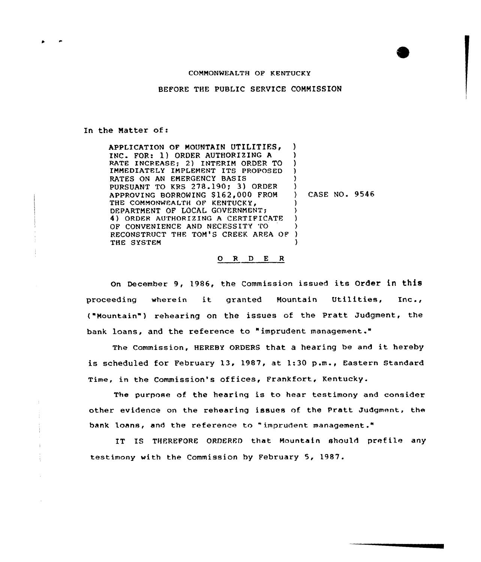## COMMONWEALTH OF KENTUCKY

BEFORE THE PUBLIC SERVICE COMMISSION

In the Matter of:

APPLICATION OF MOUNTAIN UTILITIES, INC. FOR: 1) ORDER AUTHORIZING <sup>A</sup> RATE INCREASE; 2) INTERIM ORDER TO IMMEDIATELY IMPLEMENT ITS PROPOSED RATES ON AN EMERGENCY BASIS PURSUANT TO KRS 278.190; 3) ORDER APPROVING BORROWING 8162,000 FROM THE COMMONWEALTH OF KENTUCKY, DEPARTMENT OF LOCAL GOVERNMENT; 4) ORDER AUTHORIZING <sup>A</sup> CERTIFICATE OF CONVENIENCE AND NECESSITY TO RECONSTRUCT THE TOM'S CREEK AREA OF THE SYSTEM ) ) ) ) ) ) CASE NO. 9546 ) 3 ) 3 ) )

## 0 R <sup>D</sup> E <sup>R</sup>

On December 9, 1986, the Commission issued its Order in this proceeding wherein it granted Mountain Utilities, Inc., ("Mountain" ) rehearing on the issues of the Pratt Judgment, the bank loans, and the reference to "imprudent management."

The Commission, HEREBY ORDERS that <sup>a</sup> hearing be and it hereby is scheduled for February 13, 1987, at 1:30 p.m., Eastern Standard Time, in the Commission's offices, Frankfort, Kentucky.

The purpose of the hearing is to hear testimony and consider other evidence on the rehearing issues of the Pratt Judgment, the bank loans, and the reference to " imprudent management."

IT IS THEREFORE ORDERED that Mountain should prefile any testimony with the Commission by February 5, 1987.